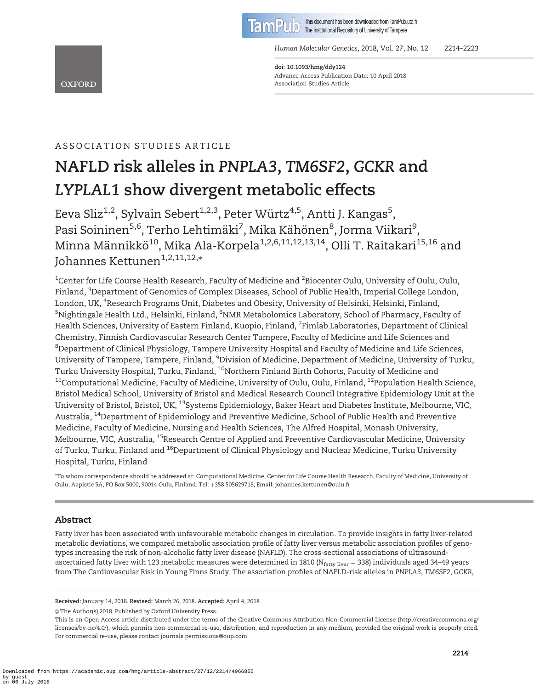

This document has been downloaded from TamPub.uta.fi <sup>0</sup> The Institutional Repository of University of Tampere

Human Molecular Genetics, 2018, Vol. 27, No. 12 2214–2223

doi: 10.1093/hmg/ddy124 Advance Access Publication Date: 10 April 2018 Association Studies Article

**OXFORD** 

# ASSOCIATION STUDIES ARTICLE

# NAFLD risk alleles in PNPLA3, TM6SF2, GCKR and LYPLAL1 show divergent metabolic effects

Eeva Sliz<sup>1,2</sup>, Sylvain Sebert<sup>1,2,3</sup>, Peter Würtz<sup>4,5</sup>, Antti J. Kangas<sup>5</sup>, Pasi Soininen<sup>5,6</sup>, Terho Lehtimäki<sup>7</sup>, Mika Kähönen<sup>8</sup>, Jorma Viikari<sup>9</sup>, Minna Männikkö<sup>10</sup>, Mika Ala-Korpela<sup>1,2,6,11,12,13,14</sup>, Olli T. Raitakari<sup>15,16</sup> and Johannes Kettunen $1,2,11,12,*$ 

 $^{\rm 1}$ Center for Life Course Health Research, Faculty of Medicine and  $^{\rm 2}$ Biocenter Oulu, University of Oulu, Oulu, Finland, <sup>3</sup>Department of Genomics of Complex Diseases, School of Public Health, Imperial College London, London, UK, <sup>4</sup>Research Programs Unit, Diabetes and Obesity, University of Helsinki, Helsinki, Finland,  $^5$ Nightingale Health Ltd., Helsinki, Finland,  $^6$ NMR Metabolomics Laboratory, School of Pharmacy, Faculty of Health Sciences, University of Eastern Finland, Kuopio, Finland, <sup>7</sup>Fimlab Laboratories, Department of Clinical Chemistry, Finnish Cardiovascular Research Center Tampere, Faculty of Medicine and Life Sciences and  $^8$ Department of Clinical Physiology, Tampere University Hospital and Faculty of Medicine and Life Sciences, University of Tampere, Tampere, Finland, <sup>9</sup>Division of Medicine, Department of Medicine, University of Turku, Turku University Hospital, Turku, Finland, <sup>10</sup>Northern Finland Birth Cohorts, Faculty of Medicine and <sup>11</sup>Computational Medicine, Faculty of Medicine, University of Oulu, Oulu, Finland, <sup>12</sup>Population Health Science, Bristol Medical School, University of Bristol and Medical Research Council Integrative Epidemiology Unit at the University of Bristol, Bristol, UK, 13Systems Epidemiology, Baker Heart and Diabetes Institute, Melbourne, VIC, Australia, <sup>14</sup>Department of Epidemiology and Preventive Medicine, School of Public Health and Preventive Medicine, Faculty of Medicine, Nursing and Health Sciences, The Alfred Hospital, Monash University, Melbourne, VIC, Australia, <sup>15</sup>Research Centre of Applied and Preventive Cardiovascular Medicine, University of Turku, Turku, Finland and <sup>16</sup>Department of Clinical Physiology and Nuclear Medicine, Turku University Hospital, Turku, Finland

\*To whom correspondence should be addressed at: Computational Medicine, Center for Life Course Health Research, Faculty of Medicine, University of Oulu, Aapistie 5A, PO Box 5000, 90014 Oulu, Finland. Tel: +358 505629718; Email: johannes.kettunen@oulu.fi

## Abstract

Fatty liver has been associated with unfavourable metabolic changes in circulation. To provide insights in fatty liver-related metabolic deviations, we compared metabolic association profile of fatty liver versus metabolic association profiles of genotypes increasing the risk of non-alcoholic fatty liver disease (NAFLD). The cross-sectional associations of ultrasoundascertained fatty liver with 123 metabolic measures were determined in 1810 ( $N_{\rm fatty\ liver}$  = 338) individuals aged 34–49 years from The Cardiovascular Risk in Young Finns Study. The association profiles of NAFLD-risk alleles in PNPLA3, TM6SF2, GCKR,

Received: January 14, 2018. Revised: March 26, 2018. Accepted: April 4, 2018

<sup>©</sup> The Author(s) 2018. Published by Oxford University Press.

This is an Open Access article distributed under the terms of the Creative Commons Attribution Non-Commercial License [\(http://creativecommons.org/](Undefined namespace prefix
xmlXPathCompOpEval: parameter error
xmlXPathEval: evaluation failed
) [licenses/by-nc/4.0/](Undefined namespace prefix
xmlXPathCompOpEval: parameter error
xmlXPathEval: evaluation failed
)), which permits non-commercial re-use, distribution, and reproduction in any medium, provided the original work is properly cited. For commercial re-use, please contact journals.permissions@oup.com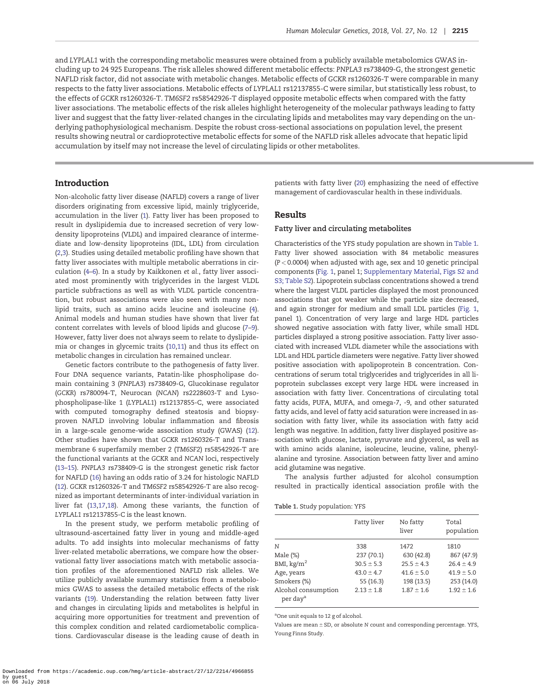<span id="page-1-0"></span>and LYPLAL1 with the corresponding metabolic measures were obtained from a publicly available metabolomics GWAS including up to 24 925 Europeans. The risk alleles showed different metabolic effects: PNPLA3 rs738409-G, the strongest genetic NAFLD risk factor, did not associate with metabolic changes. Metabolic effects of GCKR rs1260326-T were comparable in many respects to the fatty liver associations. Metabolic effects of LYPLAL1 rs12137855-C were similar, but statistically less robust, to the effects of GCKR rs1260326-T. TM6SF2 rs58542926-T displayed opposite metabolic effects when compared with the fatty liver associations. The metabolic effects of the risk alleles highlight heterogeneity of the molecular pathways leading to fatty liver and suggest that the fatty liver-related changes in the circulating lipids and metabolites may vary depending on the underlying pathophysiological mechanism. Despite the robust cross-sectional associations on population level, the present results showing neutral or cardioprotective metabolic effects for some of the NAFLD risk alleles advocate that hepatic lipid accumulation by itself may not increase the level of circulating lipids or other metabolites.

#### Introduction

Non-alcoholic fatty liver disease (NAFLD) covers a range of liver disorders originating from excessive lipid, mainly triglyceride, accumulation in the liver ([1\)](#page-7-0). Fatty liver has been proposed to result in dyslipidemia due to increased secretion of very lowdensity lipoproteins (VLDL) and impaired clearance of intermediate and low-density lipoproteins (IDL, LDL) from circulation [\(2,3\)](#page-7-0). Studies using detailed metabolic profiling have shown that fatty liver associates with multiple metabolic aberrations in circulation [\(4–6](#page-7-0)). In a study by Kaikkonen et al., fatty liver associated most prominently with triglycerides in the largest VLDL particle subfractions as well as with VLDL particle concentration, but robust associations were also seen with many nonlipid traits, such as amino acids leucine and isoleucine ([4\)](#page-7-0). Animal models and human studies have shown that liver fat content correlates with levels of blood lipids and glucose ([7–9\)](#page-7-0). However, fatty liver does not always seem to relate to dyslipidemia or changes in glycemic traits ([10](#page-7-0)[,11\)](#page-8-0) and thus its effect on metabolic changes in circulation has remained unclear.

Genetic factors contribute to the pathogenesis of fatty liver. Four DNA sequence variants, Patatin-like phospholipase domain containing 3 (PNPLA3) rs738409-G, Glucokinase regulator (GCKR) rs780094-T, Neurocan (NCAN) rs2228603-T and Lysophospholipase-like 1 (LYPLAL1) rs12137855-C, were associated with computed tomography defined steatosis and biopsyproven NAFLD involving lobular inflammation and fibrosis in a large-scale genome-wide association study (GWAS) [\(12\)](#page-8-0). Other studies have shown that GCKR rs1260326-T and Transmembrane 6 superfamily member 2 (TM6SF2) rs58542926-T are the functional variants at the GCKR and NCAN loci, respectively [\(13–15\)](#page-8-0). PNPLA3 rs738409-G is the strongest genetic risk factor for NAFLD [\(16\)](#page-8-0) having an odds ratio of 3.24 for histologic NAFLD [\(12\)](#page-8-0). GCKR rs1260326-T and TM6SF2 rs58542926-T are also recognized as important determinants of inter-individual variation in liver fat [\(13,17,18](#page-8-0)). Among these variants, the function of LYPLAL1 rs12137855-C is the least known.

In the present study, we perform metabolic profiling of ultrasound-ascertained fatty liver in young and middle-aged adults. To add insights into molecular mechanisms of fatty liver-related metabolic aberrations, we compare how the observational fatty liver associations match with metabolic association profiles of the aforementioned NAFLD risk alleles. We utilize publicly available summary statistics from a metabolomics GWAS to assess the detailed metabolic effects of the risk variants ([19\)](#page-8-0). Understanding the relation between fatty liver and changes in circulating lipids and metabolites is helpful in acquiring more opportunities for treatment and prevention of this complex condition and related cardiometabolic complications. Cardiovascular disease is the leading cause of death in

patients with fatty liver ([20](#page-8-0)) emphasizing the need of effective management of cardiovascular health in these individuals.

#### Results

#### Fatty liver and circulating metabolites

Characteristics of the YFS study population are shown in Table 1. Fatty liver showed association with 84 metabolic measures  $(P < 0.0004)$  when adjusted with age, sex and 10 genetic principal components [\(Fig. 1,](#page-2-0) panel 1; [Supplementary Material, Figs S2 and](https://academic.oup.com/hmg/article-lookup/doi/10.1093/hmg/ddy124#supplementary-data) [S3; Table S2](https://academic.oup.com/hmg/article-lookup/doi/10.1093/hmg/ddy124#supplementary-data)). Lipoprotein subclass concentrations showed a trend where the largest VLDL particles displayed the most pronounced associations that got weaker while the particle size decreased, and again stronger for medium and small LDL particles ([Fig. 1](#page-2-0), panel 1). Concentration of very large and large HDL particles showed negative association with fatty liver, while small HDL particles displayed a strong positive association. Fatty liver associated with increased VLDL diameter while the associations with LDL and HDL particle diameters were negative. Fatty liver showed positive association with apolipoprotein B concentration. Concentrations of serum total triglycerides and triglycerides in all lipoprotein subclasses except very large HDL were increased in association with fatty liver. Concentrations of circulating total fatty acids, PUFA, MUFA, and omega-7, -9, and other saturated fatty acids, and level of fatty acid saturation were increased in association with fatty liver, while its association with fatty acid length was negative. In addition, fatty liver displayed positive association with glucose, lactate, pyruvate and glycerol, as well as with amino acids alanine, isoleucine, leucine, valine, phenylalanine and tyrosine. Association between fatty liver and amino acid glutamine was negative.

The analysis further adjusted for alcohol consumption resulted in practically identical association profile with the

|  |  |  |  | Table 1. Study population: YFS |  |
|--|--|--|--|--------------------------------|--|
|--|--|--|--|--------------------------------|--|

|                                             | Fatty liver    | No fatty<br>liver | Total<br>population |
|---------------------------------------------|----------------|-------------------|---------------------|
| N                                           | 338            | 1472              | 1810                |
| Male $(\%)$                                 | 237(70.1)      | 630 (42.8)        | 867 (47.9)          |
| BMI, $kg/m2$                                | $30.5 \pm 5.3$ | $25.5 \pm 4.3$    | $26.4 \pm 4.9$      |
| Age, years                                  | $43.0 \pm 4.7$ | $41.6 \pm 5.0$    | $41.9 \pm 5.0$      |
| Smokers (%)                                 | 55 (16.3)      | 198 (13.5)        | 253 (14.0)          |
| Alcohol consumption<br>per day <sup>a</sup> | $2.13 \pm 1.8$ | $1.87 \pm 1.6$    | $1.92 \pm 1.6$      |
|                                             |                |                   |                     |

aOne unit equals to 12 g of alcohol.

Values are mean  $\pm$  SD, or absolute N count and corresponding percentage. YFS, Young Finns Study.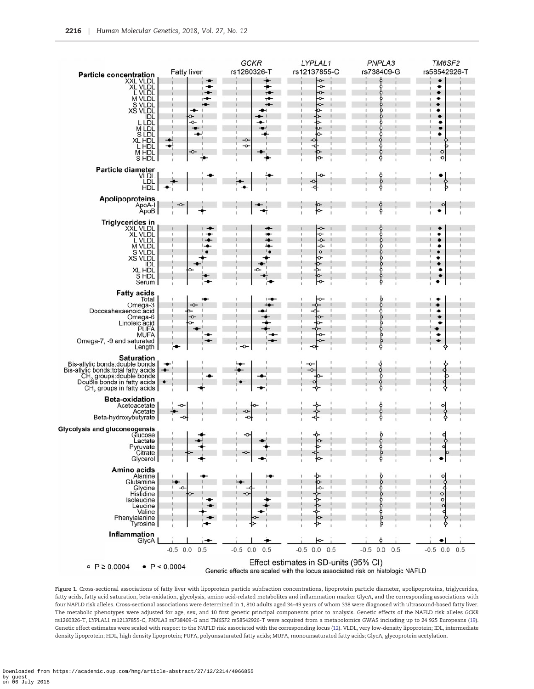<span id="page-2-0"></span>

Figure 1. Cross-sectional associations of fatty liver with lipoprotein particle subfraction concentrations, lipoprotein particle diameter, apolipoproteins, triglycerides, fatty acids, fatty acid saturation, beta-oxidation, glycolysis, amino acid-related metabolites and inflammation marker GlycA, and the corresponding associations with four NAFLD risk alleles. Cross-sectional associations were determined in 1, 810 adults aged 34–49 years of whom 338 were diagnosed with ultrasound-based fatty liver. The metabolic phenotypes were adjusted for age, sex, and 10 first genetic principal components prior to analysis. Genetic effects of the NAFLD risk alleles GCKR rs1260326-T, LYPLAL1 rs12137855-C, PNPLA3 rs738409-G and TM6SF2 rs58542926-T were acquired from a metabolomics GWAS including up to 24 925 Europeans ([19\)](#page-8-0). Genetic effect estimates were scaled with respect to the NAFLD risk associated with the corresponding locus ([12\)](#page-8-0). VLDL, very low-density lipoprotein; IDL, intermediate density lipoprotein; HDL, high density lipoprotein; PUFA, polyunsaturated fatty acids; MUFA, monounsaturated fatty acids; GlycA, glycoprotein acetylation.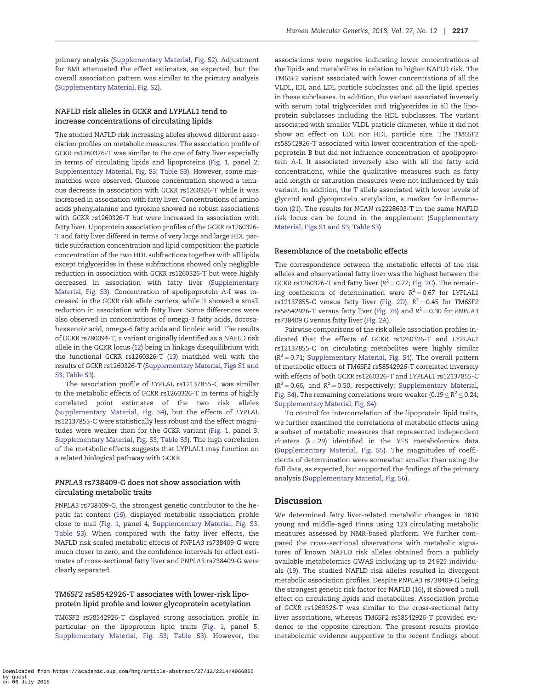<span id="page-3-0"></span>primary analysis ([Supplementary Material, Fig. S2\)](https://academic.oup.com/hmg/article-lookup/doi/10.1093/hmg/ddy124#supplementary-data). Adjustment for BMI attenuated the effect estimates, as expected, but the overall association pattern was similar to the primary analysis [\(Supplementary Material, Fig. S2](https://academic.oup.com/hmg/article-lookup/doi/10.1093/hmg/ddy124#supplementary-data)).

## NAFLD risk alleles in GCKR and LYPLAL1 tend to increase concentrations of circulating lipids

The studied NAFLD risk increasing alleles showed different association profiles on metabolic measures. The association profile of GCKR rs1260326-T was similar to the one of fatty liver especially in terms of circulating lipids and lipoproteins [\(Fig. 1,](#page-2-0) panel 2; [Supplementary Material, Fig. S3; Table S3\)](https://academic.oup.com/hmg/article-lookup/doi/10.1093/hmg/ddy124#supplementary-data). However, some mismatches were observed. Glucose concentration showed a tenuous decrease in association with GCKR rs1260326-T while it was increased in association with fatty liver. Concentrations of amino acids phenylalanine and tyrosine showed no robust associations with GCKR rs1260326-T but were increased in association with fatty liver. Lipoprotein association profiles of the GCKR rs1260326- T and fatty liver differed in terms of very large and large HDL particle subfraction concentration and lipid composition: the particle concentration of the two HDL subfractions together with all lipids except triglycerides in these subfractions showed only negligible reduction in association with GCKR rs1260326-T but were highly decreased in association with fatty liver ([Supplementary](https://academic.oup.com/hmg/article-lookup/doi/10.1093/hmg/ddy124#supplementary-data) [Material, Fig. S3](https://academic.oup.com/hmg/article-lookup/doi/10.1093/hmg/ddy124#supplementary-data)). Concentration of apolipoprotein A-I was increased in the GCKR risk allele carriers, while it showed a small reduction in association with fatty liver. Some differences were also observed in concentrations of omega-3 fatty acids, docosahexaenoic acid, omega-6 fatty acids and linoleic acid. The results of GCKR rs780094-T, a variant originally identified as a NAFLD risk allele in the GCKR locus ([12\)](#page-8-0) being in linkage disequilibrium with the functional GCKR rs1260326-T [\(13](#page-8-0)) matched well with the results of GCKR rs1260326-T [\(Supplementary Material, Figs S1 and](https://academic.oup.com/hmg/article-lookup/doi/10.1093/hmg/ddy124#supplementary-data) [S3; Table S3](https://academic.oup.com/hmg/article-lookup/doi/10.1093/hmg/ddy124#supplementary-data)).

The association profile of LYPLAL rs12137855-C was similar to the metabolic effects of GCKR rs1260326-T in terms of highly correlated point estimates of the two risk alleles [\(Supplementary Material, Fig. S4\)](https://academic.oup.com/hmg/article-lookup/doi/10.1093/hmg/ddy124#supplementary-data), but the effects of LYPLAL rs12137855-C were statistically less robust and the effect magnitudes were weaker than for the GCKR variant ([Fig. 1,](#page-2-0) panel 3; [Supplementary Material, Fig. S3; Table S3](https://academic.oup.com/hmg/article-lookup/doi/10.1093/hmg/ddy124#supplementary-data)). The high correlation of the metabolic effects suggests that LYPLAL1 may function on a related biological pathway with GCKR.

## PNPLA3 rs738409-G does not show association with circulating metabolic traits

PNPLA3 rs738409-G, the strongest genetic contributor to the hepatic fat content [\(16](#page-8-0)), displayed metabolic association profile close to null [\(Fig. 1](#page-2-0), panel 4; [Supplementary Material, Fig. S3;](https://academic.oup.com/hmg/article-lookup/doi/10.1093/hmg/ddy124#supplementary-data) [Table S3](https://academic.oup.com/hmg/article-lookup/doi/10.1093/hmg/ddy124#supplementary-data)). When compared with the fatty liver effects, the NAFLD risk scaled metabolic effects of PNPLA3 rs738409-G were much closer to zero, and the confidence intervals for effect estimates of cross-sectional fatty liver and PNPLA3 rs738409-G were clearly separated.

### TM6SF2 rs58542926-T associates with lower-risk lipoprotein lipid profile and lower glycoprotein acetylation

TM6SF2 rs58542926-T displayed strong association profile in particular on the lipoprotein lipid traits [\(Fig. 1,](#page-2-0) panel 5; [Supplementary Material, Fig. S3; Table S3](https://academic.oup.com/hmg/article-lookup/doi/10.1093/hmg/ddy124#supplementary-data)). However, the

associations were negative indicating lower concentrations of the lipids and metabolites in relation to higher NAFLD risk. The TM6SF2 variant associated with lower concentrations of all the VLDL, IDL and LDL particle subclasses and all the lipid species in these subclasses. In addition, the variant associated inversely with serum total triglycerides and triglycerides in all the lipoprotein subclasses including the HDL subclasses. The variant associated with smaller VLDL particle diameter, while it did not show an effect on LDL nor HDL particle size. The TM6SF2 rs58542926-T associated with lower concentration of the apolipoprotein B but did not influence concentration of apolipoprotein A-I. It associated inversely also with all the fatty acid concentrations, while the qualitative measures such as fatty acid length or saturation measures were not influenced by this variant. In addition, the T allele associated with lower levels of glycerol and glycoprotein acetylation, a marker for inflammation ([21\)](#page-8-0). The results for NCAN rs2228603-T in the same NAFLD risk locus can be found in the supplement ([Supplementary](https://academic.oup.com/hmg/article-lookup/doi/10.1093/hmg/ddy124#supplementary-data) [Material, Figs S1 and S3; Table S3\)](https://academic.oup.com/hmg/article-lookup/doi/10.1093/hmg/ddy124#supplementary-data).

#### Resemblance of the metabolic effects

The correspondence between the metabolic effects of the risk alleles and observational fatty liver was the highest between the GCKR rs1260326-T and fatty liver ( $R^2 = 0.77$ ; [Fig. 2C\)](#page-4-0). The remaining coefficients of determination were  $R^2 = 0.67$  for LYPLAL1 rs12137855-C versus fatty liver [\(Fig. 2D\)](#page-4-0),  $R^2 = 0.45$  for TM6SF2 rs58542926-T versus fatty liver ([Fig. 2B](#page-4-0)) and  $R^2 = 0.30$  for PNPLA3 rs738409 G versus fatty liver [\(Fig. 2A\)](#page-4-0).

Pairwise comparisons of the risk allele association profiles indicated that the effects of GCKR rs1260326-T and LYPLAL1 rs12137855-C on circulating metabolites were highly similar  $(R^2 = 0.71$ ; [Supplementary Material, Fig. S4](https://academic.oup.com/hmg/article-lookup/doi/10.1093/hmg/ddy124#supplementary-data)). The overall pattern of metabolic effects of TM6SF2 rs58542926-T correlated inversely with effects of both GCKR rs1260326-T and LYPLAL1 rs12137855-C  $(R^2 = 0.66$ , and  $R^2 = 0.50$ , respectively; [Supplementary Material,](https://academic.oup.com/hmg/article-lookup/doi/10.1093/hmg/ddy124#supplementary-data) [Fig. S4\)](https://academic.oup.com/hmg/article-lookup/doi/10.1093/hmg/ddy124#supplementary-data). The remaining correlations were weaker (0.19  $\leq$  R<sup>2</sup>  $\leq$  0.24; [Supplementary Material, Fig. S4](https://academic.oup.com/hmg/article-lookup/doi/10.1093/hmg/ddy124#supplementary-data)).

To control for intercorrelation of the lipoprotein lipid traits, we further examined the correlations of metabolic effects using a subset of metabolic measures that represented independent clusters  $(k = 29)$  identified in the YFS metabolomics data [\(Supplementary Material, Fig. S5](https://academic.oup.com/hmg/article-lookup/doi/10.1093/hmg/ddy124#supplementary-data)). The magnitudes of coefficients of determination were somewhat smaller than using the full data, as expected, but supported the findings of the primary analysis [\(Supplementary Material, Fig. S6](https://academic.oup.com/hmg/article-lookup/doi/10.1093/hmg/ddy124#supplementary-data)).

# Discussion

We determined fatty liver-related metabolic changes in 1810 young and middle-aged Finns using 123 circulating metabolic measures assessed by NMR-based platform. We further compared the cross-sectional observations with metabolic signatures of known NAFLD risk alleles obtained from a publicly available metabolomics GWAS including up to 24 925 individuals [\(19\)](#page-8-0). The studied NAFLD risk alleles resulted in divergent metabolic association profiles. Despite PNPLA3 rs738409-G being the strongest genetic risk factor for NAFLD [\(16\)](#page-8-0), it showed a null effect on circulating lipids and metabolites. Association profile of GCKR rs1260326-T was similar to the cross-sectional fatty liver associations, whereas TM6SF2 rs58542926-T provided evidence to the opposite direction. The present results provide metabolomic evidence supportive to the recent findings about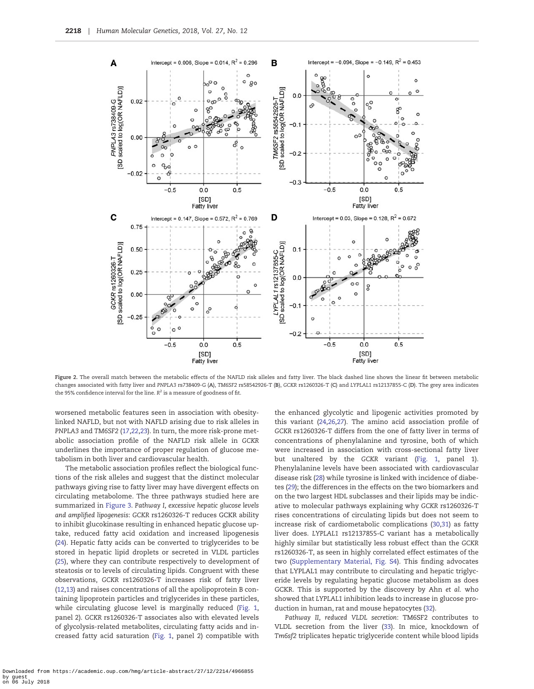<span id="page-4-0"></span>

Figure 2. The overall match between the metabolic effects of the NAFLD risk alleles and fatty liver. The black dashed line shows the linear fit between metabolic changes associated with fatty liver and PNPLA3 rs738409-G (A), TM6SF2 rs58542926-T (B), GCKR rs1260326-T (C) and LYPLAL1 rs12137855-C (D). The grey area indicates the 95% confidence interval for the line.  $R^2$  is a measure of goodness of fit.

worsened metabolic features seen in association with obesitylinked NAFLD, but not with NAFLD arising due to risk alleles in PNPLA3 and TM6SF2 [\(17,22,23](#page-8-0)). In turn, the more risk-prone metabolic association profile of the NAFLD risk allele in GCKR underlines the importance of proper regulation of glucose metabolism in both liver and cardiovascular health.

The metabolic association profiles reflect the biological functions of the risk alleles and suggest that the distinct molecular pathways giving rise to fatty liver may have divergent effects on circulating metabolome. The three pathways studied here are summarized in [Figure 3.](#page-5-0) Pathway I, excessive hepatic glucose levels and amplified lipogenesis: GCKR rs1260326-T reduces GCKR ability to inhibit glucokinase resulting in enhanced hepatic glucose uptake, reduced fatty acid oxidation and increased lipogenesis [\(24\)](#page-8-0). Hepatic fatty acids can be converted to triglycerides to be stored in hepatic lipid droplets or secreted in VLDL particles [\(25\)](#page-8-0), where they can contribute respectively to development of steatosis or to levels of circulating lipids. Congruent with these observations, GCKR rs1260326-T increases risk of fatty liver [\(12,13](#page-8-0)) and raises concentrations of all the apolipoprotein B containing lipoprotein particles and triglycerides in these particles, while circulating glucose level is marginally reduced [\(Fig. 1](#page-2-0), panel 2). GCKR rs1260326-T associates also with elevated levels of glycolysis-related metabolites, circulating fatty acids and increased fatty acid saturation [\(Fig. 1](#page-2-0), panel 2) compatible with

the enhanced glycolytic and lipogenic activities promoted by this variant [\(24,26,27\)](#page-8-0). The amino acid association profile of GCKR rs1260326-T differs from the one of fatty liver in terms of concentrations of phenylalanine and tyrosine, both of which were increased in association with cross-sectional fatty liver but unaltered by the GCKR variant [\(Fig. 1,](#page-2-0) panel 1). Phenylalanine levels have been associated with cardiovascular disease risk ([28](#page-8-0)) while tyrosine is linked with incidence of diabetes [\(29](#page-8-0)); the differences in the effects on the two biomarkers and on the two largest HDL subclasses and their lipids may be indicative to molecular pathways explaining why GCKR rs1260326-T rises concentrations of circulating lipids but does not seem to increase risk of cardiometabolic complications [\(30,31\)](#page-8-0) as fatty liver does. LYPLAL1 rs12137855-C variant has a metabolically highly similar but statistically less robust effect than the GCKR rs1260326-T, as seen in highly correlated effect estimates of the two ([Supplementary Material, Fig. S4](https://academic.oup.com/hmg/article-lookup/doi/10.1093/hmg/ddy124#supplementary-data)). This finding advocates that LYPLAL1 may contribute to circulating and hepatic triglyceride levels by regulating hepatic glucose metabolism as does GCKR. This is supported by the discovery by Ahn et al. who showed that LYPLAL1 inhibition leads to increase in glucose production in human, rat and mouse hepatocytes [\(32](#page-8-0)).

Pathway II, reduced VLDL secretion: TM6SF2 contributes to VLDL secretion from the liver [\(33\)](#page-8-0). In mice, knockdown of Tm6sf2 triplicates hepatic triglyceride content while blood lipids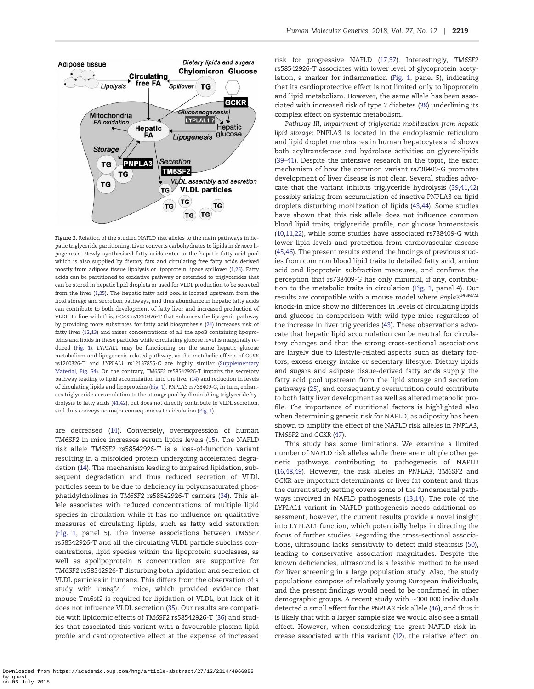<span id="page-5-0"></span>

Figure 3. Relation of the studied NAFLD risk alleles to the main pathways in hepatic triglyceride partitioning. Liver converts carbohydrates to lipids in de novo lipogenesis. Newly synthesized fatty acids enter to the hepatic fatty acid pool which is also supplied by dietary fats and circulating free fatty acids derived mostly from adipose tissue lipolysis or lipoprotein lipase spillover ([1](#page-7-0),[25\)](#page-8-0). Fatty acids can be partitioned to oxidative pathway or esterified to triglycerides that can be stored in hepatic lipid droplets or used for VLDL production to be secreted from the liver ([1](#page-7-0),[25](#page-8-0)). The hepatic fatty acid pool is located upstream from the lipid storage and secretion pathways, and thus abundance in hepatic fatty acids can contribute to both development of fatty liver and increased production of VLDL. In line with this, GCKR rs1260326-T that enhances the lipogenic pathway by providing more substrates for fatty acid biosynthesis ([24](#page-8-0)) increases risk of fatty liver [\(12,13](#page-8-0)) and raises concentrations of all the apoB containing lipoproteins and lipids in these particles while circulating glucose level is marginally reduced ([Fig. 1\)](#page-2-0). LYPLAL1 may be functioning on the same hepatic glucose metabolism and lipogenesis related pathway, as the metabolic effects of GCKR rs1260326-T and LYPLAL1 rs12137855-C are highly similar [\(Supplementary](https://academic.oup.com/hmg/article-lookup/doi/10.1093/hmg/ddy124#supplementary-data) [Material, Fig. S4\)](https://academic.oup.com/hmg/article-lookup/doi/10.1093/hmg/ddy124#supplementary-data). On the contrary, TM6SF2 rs58542926-T impairs the secretory pathway leading to lipid accumulation into the liver ([14](#page-8-0)) and reduction in levels of circulating lipids and lipoproteins [\(Fig. 1](#page-2-0)). PNPLA3 rs738409-G, in turn, enhances triglyceride accumulation to the storage pool by diminishing triglyceride hydrolysis to fatty acids ([41](#page-9-0),[42](#page-9-0)), but does not directly contribute to VLDL secretion, and thus conveys no major consequences to circulation ([Fig. 1](#page-2-0)).

are decreased ([14\)](#page-8-0). Conversely, overexpression of human TM6SF2 in mice increases serum lipids levels ([15](#page-8-0)). The NAFLD risk allele TM6SF2 rs58542926-T is a loss-of-function variant resulting in a misfolded protein undergoing accelerated degradation [\(14\)](#page-8-0). The mechanism leading to impaired lipidation, subsequent degradation and thus reduced secretion of VLDL particles seem to be due to deficiency in polyunsaturated phosphatidylcholines in TM6SF2 rs58542926-T carriers ([34](#page-8-0)). This allele associates with reduced concentrations of multiple lipid species in circulation while it has no influence on qualitative measures of circulating lipids, such as fatty acid saturation [\(Fig. 1](#page-2-0), panel 5). The inverse associations between TM6SF2 rs58542926-T and all the circulating VLDL particle subclass concentrations, lipid species within the lipoprotein subclasses, as well as apolipoprotein B concentration are supportive for TM6SF2 rs58542926-T disturbing both lipidation and secretion of VLDL particles in humans. This differs from the observation of a study with  $Tm6sf2^{-/-}$  mice, which provided evidence that mouse Tm6sf2 is required for lipidation of VLDL, but lack of it does not influence VLDL secretion ([35](#page-8-0)). Our results are compatible with lipidomic effects of TM6SF2 rs58542926-T [\(36](#page-8-0)) and studies that associated this variant with a favourable plasma lipid profile and cardioprotective effect at the expense of increased

risk for progressive NAFLD [\(17,37\)](#page-8-0). Interestingly, TM6SF2 rs58542926-T associates with lower level of glycoprotein acetylation, a marker for inflammation [\(Fig. 1,](#page-2-0) panel 5), indicating that its cardioprotective effect is not limited only to lipoprotein and lipid metabolism. However, the same allele has been associated with increased risk of type 2 diabetes ([38](#page-8-0)) underlining its complex effect on systemic metabolism.

Pathway III, impairment of triglyceride mobilization from hepatic lipid storage: PNPLA3 is located in the endoplasmic reticulum and lipid droplet membranes in human hepatocytes and shows both acyltransferase and hydrolase activities on glycerolipids [\(39–41\)](#page-9-0). Despite the intensive research on the topic, the exact mechanism of how the common variant rs738409-G promotes development of liver disease is not clear. Several studies advocate that the variant inhibits triglyceride hydrolysis ([39,41](#page-9-0),[42\)](#page-9-0) possibly arising from accumulation of inactive PNPLA3 on lipid droplets disturbing mobilization of lipids [\(43,44](#page-9-0)). Some studies have shown that this risk allele does not influence common blood lipid traits, triglyceride profile, nor glucose homeostasis [\(10,](#page-7-0)[11,22](#page-8-0)), while some studies have associated rs738409-G with lower lipid levels and protection from cardiovascular disease [\(45,46](#page-9-0)). The present results extend the findings of previous studies from common blood lipid traits to detailed fatty acid, amino acid and lipoprotein subfraction measures, and confirms the perception that rs738409-G has only minimal, if any, contribution to the metabolic traits in circulation [\(Fig. 1](#page-2-0), panel 4). Our results are compatible with a mouse model where Pnpla3148M/M knock-in mice show no differences in levels of circulating lipids and glucose in comparison with wild-type mice regardless of the increase in liver triglycerides [\(43](#page-9-0)). These observations advocate that hepatic lipid accumulation can be neutral for circulatory changes and that the strong cross-sectional associations are largely due to lifestyle-related aspects such as dietary factors, excess energy intake or sedentary lifestyle. Dietary lipids and sugars and adipose tissue-derived fatty acids supply the fatty acid pool upstream from the lipid storage and secretion pathways [\(25\)](#page-8-0), and consequently overnutrition could contribute to both fatty liver development as well as altered metabolic profile. The importance of nutritional factors is highlighted also when determining genetic risk for NAFLD, as adiposity has been shown to amplify the effect of the NAFLD risk alleles in PNPLA3, TM6SF2 and GCKR [\(47\)](#page-9-0).

This study has some limitations. We examine a limited number of NAFLD risk alleles while there are multiple other genetic pathways contributing to pathogenesis of NAFLD [\(16,](#page-8-0)[48,49](#page-9-0)). However, the risk alleles in PNPLA3, TM6SF2 and GCKR are important determinants of liver fat content and thus the current study setting covers some of the fundamental pathways involved in NAFLD pathogenesis ([13,14](#page-8-0)). The role of the LYPLAL1 variant in NAFLD pathogenesis needs additional assessment; however, the current results provide a novel insight into LYPLAL1 function, which potentially helps in directing the focus of further studies. Regarding the cross-sectional associations, ultrasound lacks sensitivity to detect mild steatosis [\(50\)](#page-9-0), leading to conservative association magnitudes. Despite the known deficiencies, ultrasound is a feasible method to be used for liver screening in a large population study. Also, the study populations compose of relatively young European individuals, and the present findings would need to be confirmed in other demographic groups. A recent study with  $\sim$ 300 000 individuals detected a small effect for the PNPLA3 risk allele ([46](#page-9-0)), and thus it is likely that with a larger sample size we would also see a small effect. However, when considering the great NAFLD risk increase associated with this variant [\(12\)](#page-8-0), the relative effect on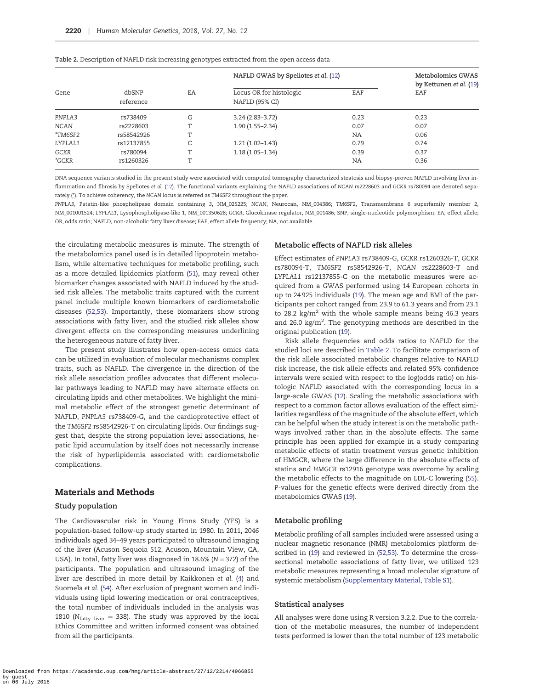| Gene        | dbSNP<br>reference | EA | NAFLD GWAS by Speliotes et al. (12)       |           | <b>Metabolomics GWAS</b><br>by Kettunen et al. (19) |  |
|-------------|--------------------|----|-------------------------------------------|-----------|-----------------------------------------------------|--|
|             |                    |    | Locus OR for histologic<br>NAFLD (95% CI) | EAF       | EAF                                                 |  |
| PNPLA3      | rs738409           | G  | $3.24(2.83 - 3.72)$                       | 0.23      | 0.23                                                |  |
| <b>NCAN</b> | rs2228603          |    | $1.90(1.55 - 2.34)$                       | 0.07      | 0.07                                                |  |
| *TM6SF2     | rs58542926         |    |                                           | <b>NA</b> | 0.06                                                |  |
| LYPLAL1     | rs12137855         | C  | $1.21(1.02 - 1.43)$                       | 0.79      | 0.74                                                |  |
| GCKR        | rs780094           |    | $1.18(1.05 - 1.34)$                       | 0.39      | 0.37                                                |  |
| ${}^*GCKR$  | rs1260326          |    |                                           | NA        | 0.36                                                |  |

<span id="page-6-0"></span>

| <b>Table 2.</b> Description of NAFLD risk increasing genotypes extracted from the open access data |  |  |
|----------------------------------------------------------------------------------------------------|--|--|
|----------------------------------------------------------------------------------------------------|--|--|

DNA sequence variants studied in the present study were associated with computed tomography characterized steatosis and biopsy-proven NAFLD involving liver in-flammation and fibrosis by Speliotes et al. ([12\)](#page-8-0). The functional variants explaining the NAFLD associations of NCAN rs2228603 and GCKR rs780094 are denoted separately (\*). To achieve coherency, the NCAN locus is referred as TM6SF2 throughout the paper.

PNPLA3, Patatin-like phospholipase domain containing 3, NM\_025225; NCAN, Neurocan, NM\_004386; TM6SF2, Transmembrane 6 superfamily member 2, NM\_001001524; LYPLAL1, Lysophospholipase-like 1, NM\_001350628; GCKR, Glucokinase regulator, NM\_001486; SNP, single-nucleotide polymorphism; EA, effect allele; OR, odds ratio; NAFLD, non-alcoholic fatty liver disease; EAF, effect allele frequency; NA, not available.

the circulating metabolic measures is minute. The strength of the metabolomics panel used is in detailed lipoprotein metabolism, while alternative techniques for metabolic profiling, such as a more detailed lipidomics platform ([51\)](#page-9-0), may reveal other biomarker changes associated with NAFLD induced by the studied risk alleles. The metabolic traits captured with the current panel include multiple known biomarkers of cardiometabolic diseases ([52,53\)](#page-9-0). Importantly, these biomarkers show strong associations with fatty liver, and the studied risk alleles show divergent effects on the corresponding measures underlining the heterogeneous nature of fatty liver.

The present study illustrates how open-access omics data can be utilized in evaluation of molecular mechanisms complex traits, such as NAFLD. The divergence in the direction of the risk allele association profiles advocates that different molecular pathways leading to NAFLD may have alternate effects on circulating lipids and other metabolites. We highlight the minimal metabolic effect of the strongest genetic determinant of NAFLD, PNPLA3 rs738409-G, and the cardioprotective effect of the TM6SF2 rs58542926-T on circulating lipids. Our findings suggest that, despite the strong population level associations, hepatic lipid accumulation by itself does not necessarily increase the risk of hyperlipidemia associated with cardiometabolic complications.

#### Materials and Methods

#### Study population

The Cardiovascular risk in Young Finns Study (YFS) is a population-based follow-up study started in 1980. In 2011, 2046 individuals aged 34–49 years participated to ultrasound imaging of the liver (Acuson Sequoia 512, Acuson, Mountain View, CA, USA). In total, fatty liver was diagnosed in 18.6% ( $N = 372$ ) of the participants. The population and ultrasound imaging of the liver are described in more detail by Kaikkonen et al. [\(4](#page-7-0)) and Suomela et al. ([54\)](#page-9-0). After exclusion of pregnant women and individuals using lipid lowering medication or oral contraceptives, the total number of individuals included in the analysis was 1810 ( $N_{\text{fatty liver}}$  = 338). The study was approved by the local Ethics Committee and written informed consent was obtained from all the participants.

#### Metabolic effects of NAFLD risk alleles

Effect estimates of PNPLA3 rs738409-G, GCKR rs1260326-T, GCKR rs780094-T, TM6SF2 rs58542926-T, NCAN rs2228603-T and LYPLAL1 rs12137855-C on the metabolic measures were acquired from a GWAS performed using 14 European cohorts in up to 24 925 individuals ([19](#page-8-0)). The mean age and BMI of the participants per cohort ranged from 23.9 to 61.3 years and from 23.1 to 28.2  $\text{kg/m}^2$  with the whole sample means being 46.3 years and 26.0  $\text{kg/m}^2$ . The genotyping methods are described in the original publication ([19](#page-8-0)).

Risk allele frequencies and odds ratios to NAFLD for the studied loci are described in Table 2. To facilitate comparison of the risk allele associated metabolic changes relative to NAFLD risk increase, the risk allele effects and related 95% confidence intervals were scaled with respect to the log(odds ratio) on histologic NAFLD associated with the corresponding locus in a large-scale GWAS ([12](#page-8-0)). Scaling the metabolic associations with respect to a common factor allows evaluation of the effect similarities regardless of the magnitude of the absolute effect, which can be helpful when the study interest is on the metabolic pathways involved rather than in the absolute effects. The same principle has been applied for example in a study comparing metabolic effects of statin treatment versus genetic inhibition of HMGCR, where the large difference in the absolute effects of statins and HMGCR rs12916 genotype was overcome by scaling the metabolic effects to the magnitude on LDL-C lowering [\(55\)](#page-9-0). P-values for the genetic effects were derived directly from the metabolomics GWAS ([19\)](#page-8-0).

#### Metabolic profiling

Metabolic profiling of all samples included were assessed using a nuclear magnetic resonance (NMR) metabolomics platform described in [\(19](#page-8-0)) and reviewed in ([52,53\)](#page-9-0). To determine the crosssectional metabolic associations of fatty liver, we utilized 123 metabolic measures representing a broad molecular signature of systemic metabolism ([Supplementary Material, Table S1](https://academic.oup.com/hmg/article-lookup/doi/10.1093/hmg/ddy124#supplementary-data)).

#### Statistical analyses

All analyses were done using R version 3.2.2. Due to the correlation of the metabolic measures, the number of independent tests performed is lower than the total number of 123 metabolic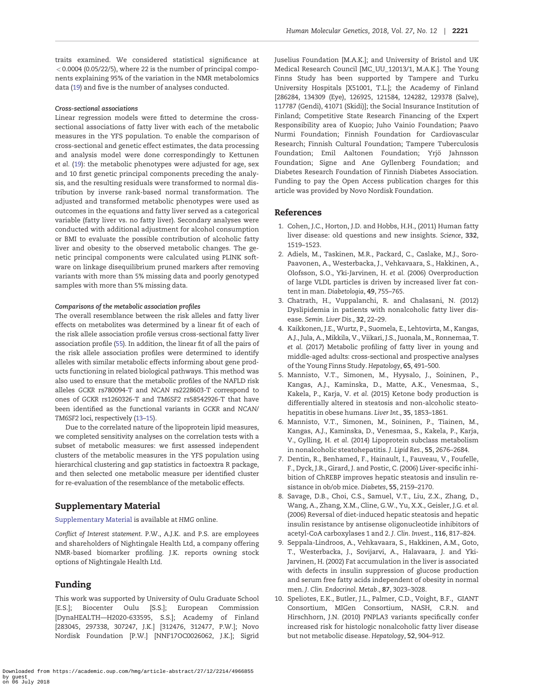<span id="page-7-0"></span>traits examined. We considered statistical significance at  $<$  0.0004 (0.05/22/5), where 22 is the number of principal components explaining 95% of the variation in the NMR metabolomics data ([19\)](#page-8-0) and five is the number of analyses conducted.

#### Cross-sectional associations

Linear regression models were fitted to determine the crosssectional associations of fatty liver with each of the metabolic measures in the YFS population. To enable the comparison of cross-sectional and genetic effect estimates, the data processing and analysis model were done correspondingly to Kettunen et al. [\(19](#page-8-0)): the metabolic phenotypes were adjusted for age, sex and 10 first genetic principal components preceding the analysis, and the resulting residuals were transformed to normal distribution by inverse rank-based normal transformation. The adjusted and transformed metabolic phenotypes were used as outcomes in the equations and fatty liver served as a categorical variable (fatty liver vs. no fatty liver). Secondary analyses were conducted with additional adjustment for alcohol consumption or BMI to evaluate the possible contribution of alcoholic fatty liver and obesity to the observed metabolic changes. The genetic principal components were calculated using PLINK software on linkage disequilibrium pruned markers after removing variants with more than 5% missing data and poorly genotyped samples with more than 5% missing data.

#### Comparisons of the metabolic association profiles

The overall resemblance between the risk alleles and fatty liver effects on metabolites was determined by a linear fit of each of the risk allele association profile versus cross-sectional fatty liver association profile ([55\)](#page-9-0). In addition, the linear fit of all the pairs of the risk allele association profiles were determined to identify alleles with similar metabolic effects informing about gene products functioning in related biological pathways. This method was also used to ensure that the metabolic profiles of the NAFLD risk alleles GCKR rs780094-T and NCAN rs2228603-T correspond to ones of GCKR rs1260326-T and TM6SF2 rs58542926-T that have been identified as the functional variants in GCKR and NCAN/ TM6SF2 loci, respectively ([13–15\)](#page-8-0).

Due to the correlated nature of the lipoprotein lipid measures, we completed sensitivity analyses on the correlation tests with a subset of metabolic measures: we first assessed independent clusters of the metabolic measures in the YFS population using hierarchical clustering and gap statistics in factoextra R package, and then selected one metabolic measure per identified cluster for re-evaluation of the resemblance of the metabolic effects.

# Supplementary Material

[Supplementary Material](https://academic.oup.com/hmg/article-lookup/doi/10.1093/hmg/ddy124#supplementary-data) is available at HMG online.

Conflict of Interest statement. P.W., A.J.K. and P.S. are employees and shareholders of Nightingale Health Ltd, a company offering NMR-based biomarker profiling. J.K. reports owning stock options of Nightingale Health Ltd.

# Funding

This work was supported by University of Oulu Graduate School [E.S.]; Biocenter Oulu [S.S.]; European Commission [DynaHEALTH—H2020-633595, S.S.]; Academy of Finland [283045, 297338, 307247, J.K.] [312476, 312477, P.W.]; Novo Nordisk Foundation [P.W.] [NNF17OC0026062, J.K.]; Sigrid Juselius Foundation [M.A.K.]; and University of Bristol and UK Medical Research Council [MC\_UU\_12013/1, M.A.K.]. The Young Finns Study has been supported by Tampere and Turku University Hospitals [X51001, T.L.]; the Academy of Finland [286284, 134309 (Eye), 126925, 121584, 124282, 129378 (Salve), 117787 (Gendi), 41071 (Skidi)]; the Social Insurance Institution of Finland; Competitive State Research Financing of the Expert Responsibility area of Kuopio; Juho Vainio Foundation; Paavo Nurmi Foundation; Finnish Foundation for Cardiovascular Research; Finnish Cultural Foundation; Tampere Tuberculosis Foundation; Emil Aaltonen Foundation; Yrjö Jahnsson Foundation; Signe and Ane Gyllenberg Foundation; and Diabetes Research Foundation of Finnish Diabetes Association. Funding to pay the Open Access publication charges for this article was provided by Novo Nordisk Foundation.

# References

- [1](#page-1-0). Cohen, J.C., Horton, J.D. and Hobbs, H.H., (2011) Human fatty liver disease: old questions and new insights. Science, 332, 1519–1523.
- [2](#page-1-0). Adiels, M., Taskinen, M.R., Packard, C., Caslake, M.J., Soro-Paavonen, A., Westerbacka, J., Vehkavaara, S., Hakkinen, A., Olofsson, S.O., Yki-Jarvinen, H. et al. (2006) Overproduction of large VLDL particles is driven by increased liver fat content in man. Diabetologia, 49, 755–765.
- [3](#page-1-0). Chatrath, H., Vuppalanchi, R. and Chalasani, N. (2012) Dyslipidemia in patients with nonalcoholic fatty liver disease. Semin. Liver Dis., 32, 22–29.
- [4](#page-1-0). Kaikkonen, J.E., Wurtz, P., Suomela, E., Lehtovirta, M., Kangas, A.J., Jula, A., Mikkila, V., Viikari, J.S., Juonala, M., Ronnemaa, T. et al. (2017) Metabolic profiling of fatty liver in young and middle-aged adults: cross-sectional and prospective analyses of the Young Finns Study. Hepatology, 65, 491–500.
- 5. Mannisto, V.T., Simonen, M., Hyysalo, J., Soininen, P., Kangas, A.J., Kaminska, D., Matte, A.K., Venesmaa, S., Kakela, P., Karja, V. et al. (2015) Ketone body production is differentially altered in steatosis and non-alcoholic steatohepatitis in obese humans. Liver Int., 35, 1853–1861.
- 6. Mannisto, V.T., Simonen, M., Soininen, P., Tiainen, M., Kangas, A.J., Kaminska, D., Venesmaa, S., Kakela, P., Karja, V., Gylling, H. et al. (2014) Lipoprotein subclass metabolism in nonalcoholic steatohepatitis. J. Lipid Res., 55, 2676–2684.
- 7. Dentin, R., Benhamed, F., Hainault, I., Fauveau, V., Foufelle, F., Dyck, J.R., Girard, J. and Postic, C. (2006) Liver-specific inhibition of ChREBP improves hepatic steatosis and insulin resistance in ob/ob mice. Diabetes, 55, 2159–2170.
- 8. Savage, D.B., Choi, C.S., Samuel, V.T., Liu, Z.X., Zhang, D., Wang, A., Zhang, X.M., Cline, G.W., Yu, X.X., Geisler, J.G. et al. (2006) Reversal of diet-induced hepatic steatosis and hepatic insulin resistance by antisense oligonucleotide inhibitors of acetyl-CoA carboxylases 1 and 2. J. Clin. Invest., 116, 817–824.
- 9. Seppala-Lindroos, A., Vehkavaara, S., Hakkinen, A.M., Goto, T., Westerbacka, J., Sovijarvi, A., Halavaara, J. and Yki-Jarvinen, H. (2002) Fat accumulation in the liver is associated with defects in insulin suppression of glucose production and serum free fatty acids independent of obesity in normal men. J. Clin. Endocrinol. Metab., 87, 3023–3028.
- [10](#page-1-0). Speliotes, E.K., Butler, J.L., Palmer, C.D., Voight, B.F., GIANT Consortium, MIGen Consortium, NASH, C.R.N. and Hirschhorn, J.N. (2010) PNPLA3 variants specifically confer increased risk for histologic nonalcoholic fatty liver disease but not metabolic disease. Hepatology, 52, 904–912.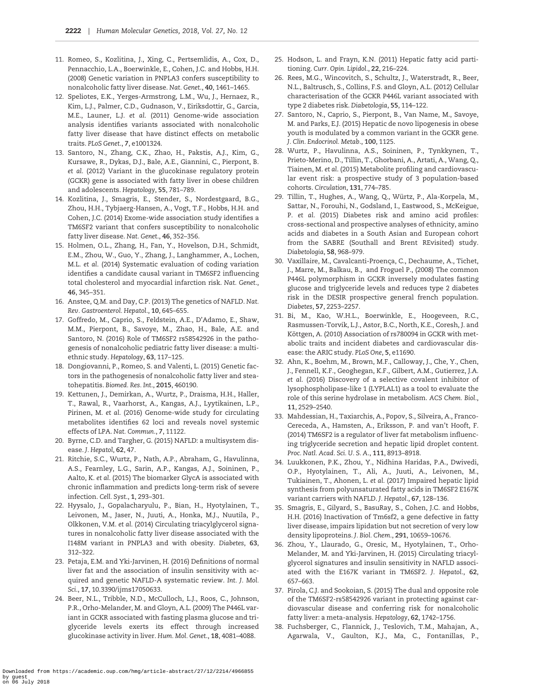- <span id="page-8-0"></span>[11](#page-1-0). Romeo, S., Kozlitina, J., Xing, C., Pertsemlidis, A., Cox, D., Pennacchio, L.A., Boerwinkle, E., Cohen, J.C. and Hobbs, H.H. (2008) Genetic variation in PNPLA3 confers susceptibility to nonalcoholic fatty liver disease. Nat. Genet., 40, 1461–1465.
- [12](#page-1-0). Speliotes, E.K., Yerges-Armstrong, L.M., Wu, J., Hernaez, R., Kim, L.J., Palmer, C.D., Gudnason, V., Eiriksdottir, G., Garcia, M.E., Launer, L.J. et al. (2011) Genome-wide association analysis identifies variants associated with nonalcoholic fatty liver disease that have distinct effects on metabolic traits. PLoS Genet., 7, e1001324.
- [13](#page-1-0). Santoro, N., Zhang, C.K., Zhao, H., Pakstis, A.J., Kim, G., Kursawe, R., Dykas, D.J., Bale, A.E., Giannini, C., Pierpont, B. et al. (2012) Variant in the glucokinase regulatory protein (GCKR) gene is associated with fatty liver in obese children and adolescents. Hepatology, 55, 781–789.
- [14](#page-5-0). Kozlitina, J., Smagris, E., Stender, S., Nordestgaard, B.G., Zhou, H.H., Tybjaerg-Hansen, A., Vogt, T.F., Hobbs, H.H. and Cohen, J.C. (2014) Exome-wide association study identifies a TM6SF2 variant that confers susceptibility to nonalcoholic fatty liver disease. Nat. Genet., 46, 352–356.
- [15](#page-5-0). Holmen, O.L., Zhang, H., Fan, Y., Hovelson, D.H., Schmidt, E.M., Zhou, W., Guo, Y., Zhang, J., Langhammer, A., Lochen, M.L. et al. (2014) Systematic evaluation of coding variation identifies a candidate causal variant in TM6SF2 influencing total cholesterol and myocardial infarction risk. Nat. Genet., 46, 345–351.
- [16](#page-1-0). Anstee, Q.M. and Day, C.P. (2013) The genetics of NAFLD. Nat. Rev. Gastroenterol. Hepatol., 10, 645–655.
- [17](#page-1-0). Goffredo, M., Caprio, S., Feldstein, A.E., D'Adamo, E., Shaw, M.M., Pierpont, B., Savoye, M., Zhao, H., Bale, A.E. and Santoro, N. (2016) Role of TM6SF2 rs58542926 in the pathogenesis of nonalcoholic pediatric fatty liver disease: a multiethnic study. Hepatology, 63, 117–125.
- [18](#page-1-0). Dongiovanni, P., Romeo, S. and Valenti, L. (2015) Genetic factors in the pathogenesis of nonalcoholic fatty liver and steatohepatitis. Biomed. Res. Int., 2015, 460190.
- [19](#page-1-0). Kettunen, J., Demirkan, A., Wurtz, P., Draisma, H.H., Haller, T., Rawal, R., Vaarhorst, A., Kangas, A.J., Lyytikainen, L.P., Pirinen, M. et al. (2016) Genome-wide study for circulating metabolites identifies 62 loci and reveals novel systemic effects of LPA. Nat. Commun., 7, 11122.
- [20](#page-1-0). Byrne, C.D. and Targher, G. (2015) NAFLD: a multisystem disease. J. Hepatol, 62, 47.
- [21](#page-3-0). Ritchie, S.C., Wurtz, P., Nath, A.P., Abraham, G., Havulinna, A.S., Fearnley, L.G., Sarin, A.P., Kangas, A.J., Soininen, P., Aalto, K. et al. (2015) The biomarker GlycA is associated with chronic inflammation and predicts long-term risk of severe infection. Cell. Syst., 1, 293–301.
- [22](#page-4-0). Hyysalo, J., Gopalacharyulu, P., Bian, H., Hyotylainen, T., Leivonen, M., Jaser, N., Juuti, A., Honka, M.J., Nuutila, P., Olkkonen, V.M. et al. (2014) Circulating triacylglycerol signatures in nonalcoholic fatty liver disease associated with the I148M variant in PNPLA3 and with obesity. Diabetes, 63, 312–322.
- [23](#page-4-0). Petaja, E.M. and Yki-Jarvinen, H. (2016) Definitions of normal liver fat and the association of insulin sensitivity with acquired and genetic NAFLD-A systematic review. Int. J. Mol. Sci., 17, 10.3390/ijms17050633.
- [24](#page-4-0). Beer, N.L., Tribble, N.D., McCulloch, L.J., Roos, C., Johnson, P.R., Orho-Melander, M. and Gloyn, A.L. (2009) The P446L variant in GCKR associated with fasting plasma glucose and triglyceride levels exerts its effect through increased glucokinase activity in liver. Hum. Mol. Genet., 18, 4081–4088.
- [25](#page-4-0). Hodson, L. and Frayn, K.N. (2011) Hepatic fatty acid partitioning. Curr. Opin. Lipidol., 22, 216–224.
- [26](#page-4-0). Rees, M.G., Wincovitch, S., Schultz, J., Waterstradt, R., Beer, N.L., Baltrusch, S., Collins, F.S. and Gloyn, A.L. (2012) Cellular characterisation of the GCKR P446L variant associated with type 2 diabetes risk. Diabetologia, 55, 114–122.
- [27](#page-4-0). Santoro, N., Caprio, S., Pierpont, B., Van Name, M., Savoye, M. and Parks, E.J. (2015) Hepatic de novo lipogenesis in obese youth is modulated by a common variant in the GCKR gene. J. Clin. Endocrinol. Metab., 100, 1125.
- [28](#page-4-0). Wurtz, P., Havulinna, A.S., Soininen, P., Tynkkynen, T., Prieto-Merino, D., Tillin, T., Ghorbani, A., Artati, A., Wang, Q., Tiainen, M. et al. (2015) Metabolite profiling and cardiovascular event risk: a prospective study of 3 population-based cohorts. Circulation, 131, 774–785.
- [29](#page-4-0). Tillin, T., Hughes, A., Wang, Q., Würtz, P., Ala-Korpela, M., Sattar, N., Forouhi, N., Godsland, I., Eastwood, S., McKeigue, P. et al. (2015) Diabetes risk and amino acid profiles: cross-sectional and prospective analyses of ethnicity, amino acids and diabetes in a South Asian and European cohort from the SABRE (Southall and Brent REvisited) study. Diabetologia, 58, 968–979.
- [30](#page-4-0). Vaxillaire, M., Cavalcanti-Proença, C., Dechaume, A., Tichet, J., Marre, M., Balkau, B., and Froguel P., (2008) The common P446L polymorphism in GCKR inversely modulates fasting glucose and triglyceride levels and reduces type 2 diabetes risk in the DESIR prospective general french population. Diabetes, 57, 2253–2257.
- [31](#page-4-0). Bi, M., Kao, W.H.L., Boerwinkle, E., Hoogeveen, R.C., Rasmussen-Torvik, L.J., Astor, B.C., North, K.E., Coresh, J. and Köttgen, A. (2010) Association of rs780094 in GCKR with metabolic traits and incident diabetes and cardiovascular disease: the ARIC study. PLoS One, 5, e11690.
- [32](#page-4-0). Ahn, K., Boehm, M., Brown, M.F., Calloway, J., Che, Y., Chen, J., Fennell, K.F., Geoghegan, K.F., Gilbert, A.M., Gutierrez, J.A. et al. (2016) Discovery of a selective covalent inhibitor of lysophospholipase-like 1 (LYPLAL1) as a tool to evaluate the role of this serine hydrolase in metabolism. ACS Chem. Biol., 11, 2529–2540.
- [33](#page-4-0). Mahdessian, H., Taxiarchis, A., Popov, S., Silveira, A., Franco-Cereceda, A., Hamsten, A., Eriksson, P. and van't Hooft, F. (2014) TM6SF2 is a regulator of liver fat metabolism influencing triglyceride secretion and hepatic lipid droplet content. Proc. Natl. Acad. Sci. U. S. A., 111, 8913–8918.
- [34](#page-5-0). Luukkonen, P.K., Zhou, Y., Nidhina Haridas, P.A., Dwivedi, O.P., Hyotylainen, T., Ali, A., Juuti, A., Leivonen, M., Tukiainen, T., Ahonen, L. et al. (2017) Impaired hepatic lipid synthesis from polyunsaturated fatty acids in TM6SF2 E167K variant carriers with NAFLD. J. Hepatol., 67, 128–136.
- [35](#page-5-0). Smagris, E., Gilyard, S., BasuRay, S., Cohen, J.C. and Hobbs, H.H. (2016) Inactivation of Tm6sf2, a gene defective in fatty liver disease, impairs lipidation but not secretion of very low density lipoproteins. J. Biol. Chem., 291, 10659–10676.
- [36](#page-5-0). Zhou, Y., Llaurado, G., Oresic, M., Hyotylainen, T., Orho-Melander, M. and Yki-Jarvinen, H. (2015) Circulating triacylglycerol signatures and insulin sensitivity in NAFLD associated with the E167K variant in TM6SF2. J. Hepatol., 62, 657–663.
- [37](#page-5-0). Pirola, C.J. and Sookoian, S. (2015) The dual and opposite role of the TM6SF2-rs58542926 variant in protecting against cardiovascular disease and conferring risk for nonalcoholic fatty liver: a meta-analysis. Hepatology, 62, 1742–1756.
- [38](#page-5-0). Fuchsberger, C., Flannick, J., Teslovich, T.M., Mahajan, A., Agarwala, V., Gaulton, K.J., Ma, C., Fontanillas, P.,